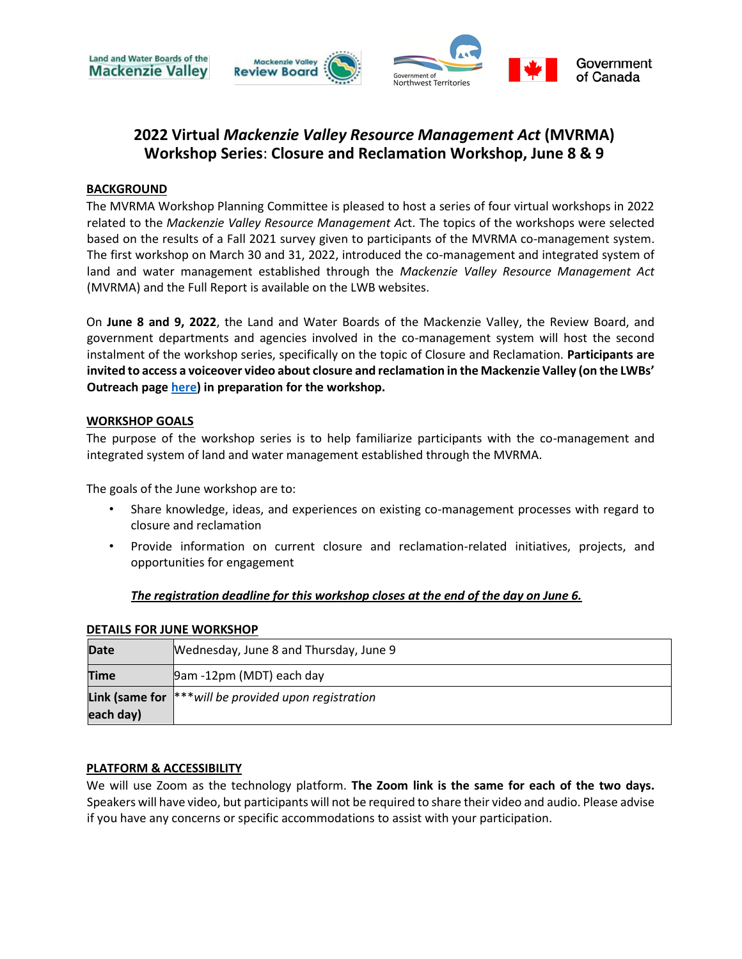

# **2022 Virtual** *Mackenzie Valley Resource Management Act* **(MVRMA) Workshop Series**: **Closure and Reclamation Workshop, June 8 & 9**

#### **BACKGROUND**

The MVRMA Workshop Planning Committee is pleased to host a series of four virtual workshops in 2022 related to the *Mackenzie Valley Resource Management Ac*t. The topics of the workshops were selected based on the results of a Fall 2021 survey given to participants of the MVRMA co-management system. The first workshop on March 30 and 31, 2022, introduced the co-management and integrated system of land and water management established through the *Mackenzie Valley Resource Management Act*  (MVRMA) and the Full Report is available on the LWB websites.

On **June 8 and 9, 2022**, the Land and Water Boards of the Mackenzie Valley, the Review Board, and government departments and agencies involved in the co-management system will host the second instalment of the workshop series, specifically on the topic of Closure and Reclamation. **Participants are invited to access a voiceover video about closure and reclamation in the Mackenzie Valley (on the LWBs' Outreach page [here\)](https://wlwb.ca/sites/default/files/2022-06/MVRMA%20Workshop%20-%20Closure%20and%20Reclamation%20in%20the%20Mackenzie%20ValleyFINAL.pptx) in preparation for the workshop.**

#### **WORKSHOP GOALS**

The purpose of the workshop series is to help familiarize participants with the co-management and integrated system of land and water management established through the MVRMA.

The goals of the June workshop are to:

- Share knowledge, ideas, and experiences on existing co-management processes with regard to closure and reclamation
- Provide information on current closure and reclamation-related initiatives, projects, and opportunities for engagement

#### *The registration deadline for this workshop closes at the end of the day on June 6.*

| <b>Date</b> | Wednesday, June 8 and Thursday, June 9                            |
|-------------|-------------------------------------------------------------------|
| Time        | 9am -12pm (MDT) each day                                          |
|             | <b>Link (same for</b> $ ^{**}$ will be provided upon registration |
| each day)   |                                                                   |

#### **DETAILS FOR JUNE WORKSHOP**

#### **PLATFORM & ACCESSIBILITY**

We will use Zoom as the technology platform. **The Zoom link is the same for each of the two days.** Speakers will have video, but participants will not be required to share their video and audio. Please advise if you have any concerns or specific accommodations to assist with your participation.